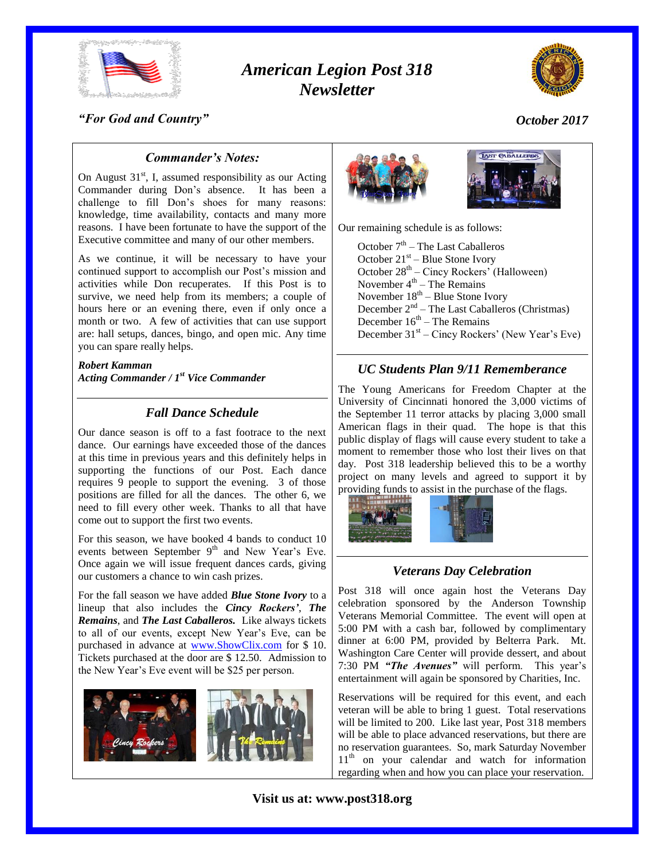

# *American Legion Post 318 Newsletter*



#### *"For God and Country"*

*October 2017*

#### *Commander's Notes:*

On August  $31<sup>st</sup>$ , I, assumed responsibility as our Acting Commander during Don's absence. It has been a challenge to fill Don's shoes for many reasons: knowledge, time availability, contacts and many more reasons. I have been fortunate to have the support of the Executive committee and many of our other members.

As we continue, it will be necessary to have your continued support to accomplish our Post's mission and activities while Don recuperates. If this Post is to survive, we need help from its members; a couple of hours here or an evening there, even if only once a month or two. A few of activities that can use support are: hall setups, dances, bingo, and open mic. Any time you can spare really helps.

*Robert Kamman Acting Commander / 1st Vice Commander*

# *Fall Dance Schedule*

Our dance season is off to a fast footrace to the next dance. Our earnings have exceeded those of the dances at this time in previous years and this definitely helps in supporting the functions of our Post. Each dance requires 9 people to support the evening. 3 of those positions are filled for all the dances. The other 6, we need to fill every other week. Thanks to all that have come out to support the first two events.

For this season, we have booked 4 bands to conduct 10 events between September 9<sup>th</sup> and New Year's Eve. Once again we will issue frequent dances cards, giving our customers a chance to win cash prizes.

For the fall season we have added *Blue Stone Ivory* to a lineup that also includes the *Cincy Rockers'*, *The Remains*, and *The Last Caballeros.* Like always tickets to all of our events, except New Year's Eve, can be purchased in advance at [www.ShowClix.com](http://www.showclix.com/) for \$ 10. Tickets purchased at the door are \$ 12.50. Admission to the New Year's Eve event will be \$25 per person.





Our remaining schedule is as follows:

October 7<sup>th</sup> – The Last Caballeros October  $21<sup>st</sup>$  – Blue Stone Ivory October 28<sup>th</sup> – Cincy Rockers' (Halloween) November  $4<sup>th</sup>$  – The Remains November 18<sup>th</sup> – Blue Stone Ivory December 2<sup>nd</sup> – The Last Caballeros (Christmas) December  $16<sup>th</sup>$  – The Remains December 31<sup>st</sup> – Cincy Rockers' (New Year's Eve)

#### *UC Students Plan 9/11 Rememberance*

The Young Americans for Freedom Chapter at the University of Cincinnati honored the 3,000 victims of the September 11 terror attacks by placing 3,000 small American flags in their quad. The hope is that this public display of flags will cause every student to take a moment to remember those who lost their lives on that day. Post 318 leadership believed this to be a worthy project on many levels and agreed to support it by providing funds to assist in the purchase of the flags.



#### *Veterans Day Celebration*

Post 318 will once again host the Veterans Day celebration sponsored by the Anderson Township Veterans Memorial Committee. The event will open at 5:00 PM with a cash bar, followed by complimentary dinner at 6:00 PM, provided by Belterra Park. Mt. Washington Care Center will provide dessert, and about 7:30 PM *"The Avenues"* will perform. This year's entertainment will again be sponsored by Charities, Inc.

Reservations will be required for this event, and each veteran will be able to bring 1 guest. Total reservations will be limited to 200. Like last year, Post 318 members will be able to place advanced reservations, but there are no reservation guarantees. So, mark Saturday November 11<sup>th</sup> on your calendar and watch for information regarding when and how you can place your reservation.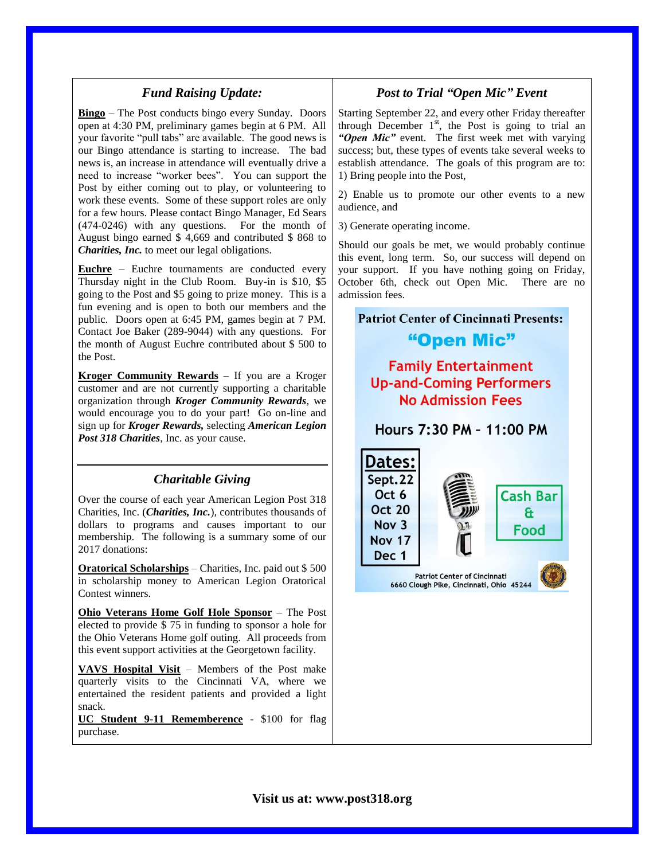#### *Fund Raising Update:*

**Bingo** – The Post conducts bingo every Sunday. Doors open at 4:30 PM, preliminary games begin at 6 PM. All your favorite "pull tabs" are available. The good news is our Bingo attendance is starting to increase. The bad news is, an increase in attendance will eventually drive a need to increase "worker bees". You can support the Post by either coming out to play, or volunteering to work these events. Some of these support roles are only for a few hours. Please contact Bingo Manager, Ed Sears (474-0246) with any questions. For the month of August bingo earned \$ 4,669 and contributed \$ 868 to *Charities, Inc.* to meet our legal obligations.

**Euchre** – Euchre tournaments are conducted every Thursday night in the Club Room. Buy-in is \$10, \$5 going to the Post and \$5 going to prize money. This is a fun evening and is open to both our members and the public. Doors open at 6:45 PM, games begin at 7 PM. Contact Joe Baker (289-9044) with any questions. For the month of August Euchre contributed about \$ 500 to the Post.

**Kroger Community Rewards** – If you are a Kroger customer and are not currently supporting a charitable organization through *Kroger Community Rewards*, we would encourage you to do your part! Go on-line and sign up for *Kroger Rewards,* selecting *American Legion Post 318 Charities*, Inc. as your cause.

#### *Charitable Giving*

Over the course of each year American Legion Post 318 Charities, Inc. (*Charities, Inc.*), contributes thousands of dollars to programs and causes important to our membership. The following is a summary some of our 2017 donations:

**Oratorical Scholarships** – Charities, Inc. paid out \$ 500 in scholarship money to American Legion Oratorical Contest winners.

**Ohio Veterans Home Golf Hole Sponsor** – The Post elected to provide \$ 75 in funding to sponsor a hole for the Ohio Veterans Home golf outing. All proceeds from this event support activities at the Georgetown facility.

**VAVS Hospital Visit** – Members of the Post make quarterly visits to the Cincinnati VA, where we entertained the resident patients and provided a light snack.

**UC Student 9-11 Rememberence** - \$100 for flag purchase.

# *Post to Trial "Open Mic" Event*

Starting September 22, and every other Friday thereafter through December  $1<sup>st</sup>$ , the Post is going to trial an *"Open Mic"* event. The first week met with varying success; but, these types of events take several weeks to establish attendance. The goals of this program are to: 1) Bring people into the Post,

2) Enable us to promote our other events to a new audience, and

3) Generate operating income.

Should our goals be met, we would probably continue this event, long term. So, our success will depend on your support. If you have nothing going on Friday, October 6th, check out Open Mic. There are no admission fees.

# **Patriot Center of Cincinnati Presents:** "Open Mic" **Family Entertainment Up-and-Coming Performers No Admission Fees** Hours 7:30 PM - 11:00 PM Dates: Sept.22 Oct 6 **Cash Bar Oct 20** £ Nov 3 Food **Nov 17** Dec 1 **Patriot Center of Cincinnati** 6660 Clough Pike, Cincinnati, Ohio 45244

**Visit us at: www.post318.org**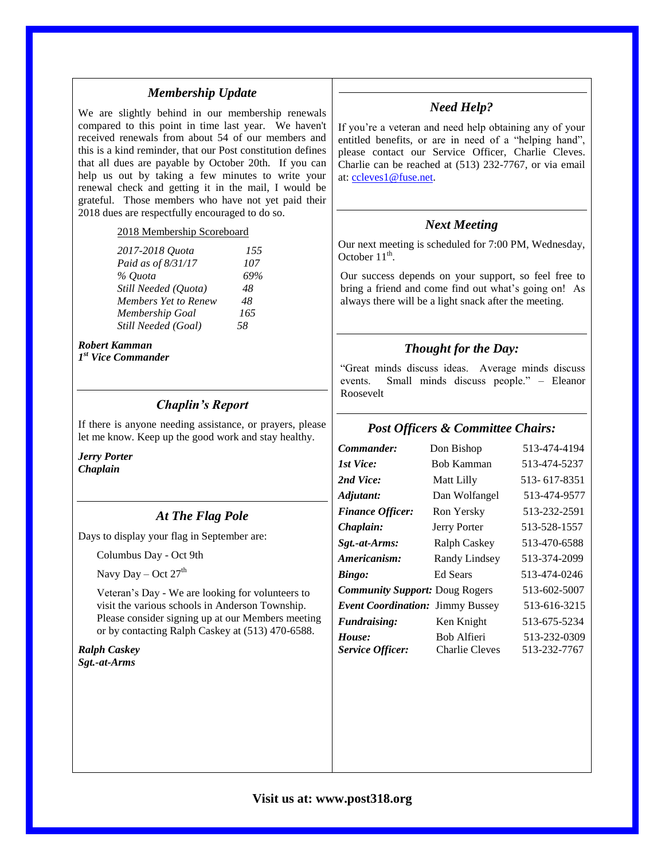#### *Membership Update*

We are slightly behind in our membership renewals compared to this point in time last year. We haven't received renewals from about 54 of our members and this is a kind reminder, that our Post constitution defines that all dues are payable by October 20th. If you can help us out by taking a few minutes to write your renewal check and getting it in the mail, I would be grateful. Those members who have not yet paid their 2018 dues are respectfully encouraged to do so.

#### 2018 Membership Scoreboard

| 2017-2018 Ouota      | 155 |
|----------------------|-----|
| Paid as of 8/31/17   | 107 |
| % Ouota              | 69% |
| Still Needed (Quota) | 48  |
| Members Yet to Renew | 48  |
| Membership Goal      | 165 |
| Still Needed (Goal)  | 58  |

#### *Robert Kamman*

*1 st Vice Commander*

#### *Chaplin's Report*

If there is anyone needing assistance, or prayers, please let me know. Keep up the good work and stay healthy.

*Jerry Porter Chaplain*

#### *At The Flag Pole*

Days to display your flag in September are:

Columbus Day - Oct 9th

Navy Day – Oct  $27<sup>th</sup>$ 

Veteran's Day - We are looking for volunteers to visit the various schools in Anderson Township. Please consider signing up at our Members meeting or by contacting Ralph Caskey at (513) 470-6588.

*Ralph Caskey Sgt.-at-Arms*

### *Need Help?*

If you're a veteran and need help obtaining any of your entitled benefits, or are in need of a "helping hand", please contact our Service Officer, Charlie Cleves. Charlie can be reached at (513) 232-7767, or via email at: [ccleves1@fuse.net.](mailto:ccleves1@fuse.net)

#### *Next Meeting*

Our next meeting is scheduled for 7:00 PM, Wednesday, October  $11^{\text{th}}$ .

Our success depends on your support, so feel free to bring a friend and come find out what's going on! As always there will be a light snack after the meeting.

#### *Thought for the Day:*

"Great minds discuss ideas. Average minds discuss events. Small minds discuss people." – Eleanor Roosevelt

#### *Post Officers & Committee Chairs:*

| Commander:                            | Don Bishop                    | 513-474-4194                 |
|---------------------------------------|-------------------------------|------------------------------|
| 1st Vice:                             | <b>Bob Kamman</b>             | 513-474-5237                 |
| 2nd Vice:                             | Matt Lilly                    | 513-617-8351                 |
| Adjutant:                             | Dan Wolfangel                 | 513-474-9577                 |
| <b>Finance Officer:</b>               | Ron Yersky                    | 513-232-2591                 |
| Chaplain:                             | Jerry Porter                  | 513-528-1557                 |
| Sgt.-at-Arms:                         | Ralph Caskey                  | 513-470-6588                 |
| Americanism:                          | Randy Lindsey                 | 513-374-2099                 |
| Bingo:                                | <b>Ed Sears</b>               | 513-474-0246                 |
| <b>Community Support: Doug Rogers</b> |                               | 513-602-5007                 |
| Event Coordination: Jimmy Bussey      |                               | 513-616-3215                 |
| <b>Fundraising:</b>                   | Ken Knight                    | 513-675-5234                 |
| House:<br><b>Service Officer:</b>     | Bob Alfieri<br>Charlie Cleves | 513-232-0309<br>513-232-7767 |